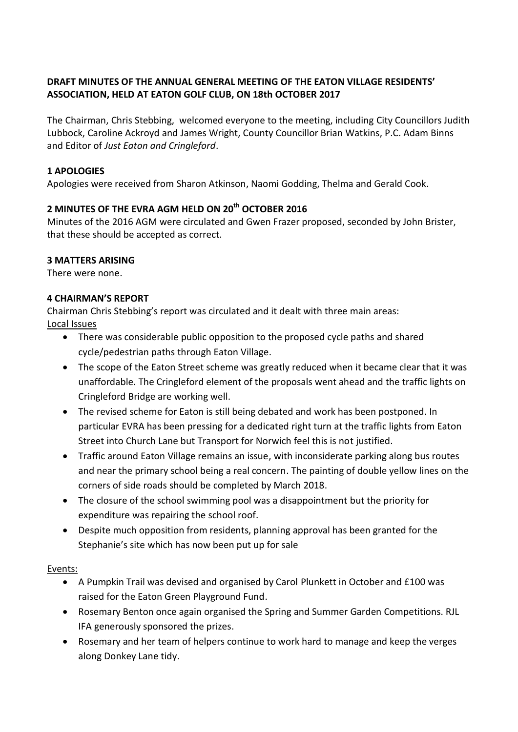### **DRAFT MINUTES OF THE ANNUAL GENERAL MEETING OF THE EATON VILLAGE RESIDENTS' ASSOCIATION, HELD AT EATON GOLF CLUB, ON 18th OCTOBER 2017**

The Chairman, Chris Stebbing, welcomed everyone to the meeting, including City Councillors Judith Lubbock, Caroline Ackroyd and James Wright, County Councillor Brian Watkins, P.C. Adam Binns and Editor of *Just Eaton and Cringleford*.

#### **1 APOLOGIES**

Apologies were received from Sharon Atkinson, Naomi Godding, Thelma and Gerald Cook.

# **2 MINUTES OF THE EVRA AGM HELD ON 20th OCTOBER 2016**

Minutes of the 2016 AGM were circulated and Gwen Frazer proposed, seconded by John Brister, that these should be accepted as correct.

#### **3 MATTERS ARISING**

There were none.

#### **4 CHAIRMAN'S REPORT**

Chairman Chris Stebbing's report was circulated and it dealt with three main areas: Local Issues

- There was considerable public opposition to the proposed cycle paths and shared cycle/pedestrian paths through Eaton Village.
- The scope of the Eaton Street scheme was greatly reduced when it became clear that it was unaffordable. The Cringleford element of the proposals went ahead and the traffic lights on Cringleford Bridge are working well.
- The revised scheme for Eaton is still being debated and work has been postponed. In particular EVRA has been pressing for a dedicated right turn at the traffic lights from Eaton Street into Church Lane but Transport for Norwich feel this is not justified.
- Traffic around Eaton Village remains an issue, with inconsiderate parking along bus routes and near the primary school being a real concern. The painting of double yellow lines on the corners of side roads should be completed by March 2018.
- The closure of the school swimming pool was a disappointment but the priority for expenditure was repairing the school roof.
- Despite much opposition from residents, planning approval has been granted for the Stephanie's site which has now been put up for sale

#### Events:

- A Pumpkin Trail was devised and organised by Carol Plunkett in October and £100 was raised for the Eaton Green Playground Fund.
- Rosemary Benton once again organised the Spring and Summer Garden Competitions. RJL IFA generously sponsored the prizes.
- Rosemary and her team of helpers continue to work hard to manage and keep the verges along Donkey Lane tidy.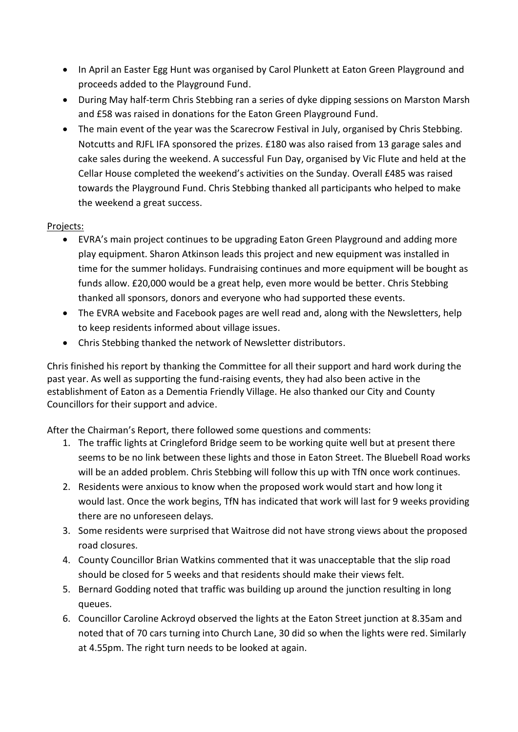- In April an Easter Egg Hunt was organised by Carol Plunkett at Eaton Green Playground and proceeds added to the Playground Fund.
- During May half-term Chris Stebbing ran a series of dyke dipping sessions on Marston Marsh and £58 was raised in donations for the Eaton Green Playground Fund.
- The main event of the year was the Scarecrow Festival in July, organised by Chris Stebbing. Notcutts and RJFL IFA sponsored the prizes. £180 was also raised from 13 garage sales and cake sales during the weekend. A successful Fun Day, organised by Vic Flute and held at the Cellar House completed the weekend's activities on the Sunday. Overall £485 was raised towards the Playground Fund. Chris Stebbing thanked all participants who helped to make the weekend a great success.

### Projects:

- EVRA's main project continues to be upgrading Eaton Green Playground and adding more play equipment. Sharon Atkinson leads this project and new equipment was installed in time for the summer holidays. Fundraising continues and more equipment will be bought as funds allow. £20,000 would be a great help, even more would be better. Chris Stebbing thanked all sponsors, donors and everyone who had supported these events.
- The EVRA website and Facebook pages are well read and, along with the Newsletters, help to keep residents informed about village issues.
- Chris Stebbing thanked the network of Newsletter distributors.

Chris finished his report by thanking the Committee for all their support and hard work during the past year. As well as supporting the fund-raising events, they had also been active in the establishment of Eaton as a Dementia Friendly Village. He also thanked our City and County Councillors for their support and advice.

After the Chairman's Report, there followed some questions and comments:

- 1. The traffic lights at Cringleford Bridge seem to be working quite well but at present there seems to be no link between these lights and those in Eaton Street. The Bluebell Road works will be an added problem. Chris Stebbing will follow this up with TfN once work continues.
- 2. Residents were anxious to know when the proposed work would start and how long it would last. Once the work begins, TfN has indicated that work will last for 9 weeks providing there are no unforeseen delays.
- 3. Some residents were surprised that Waitrose did not have strong views about the proposed road closures.
- 4. County Councillor Brian Watkins commented that it was unacceptable that the slip road should be closed for 5 weeks and that residents should make their views felt.
- 5. Bernard Godding noted that traffic was building up around the junction resulting in long queues.
- 6. Councillor Caroline Ackroyd observed the lights at the Eaton Street junction at 8.35am and noted that of 70 cars turning into Church Lane, 30 did so when the lights were red. Similarly at 4.55pm. The right turn needs to be looked at again.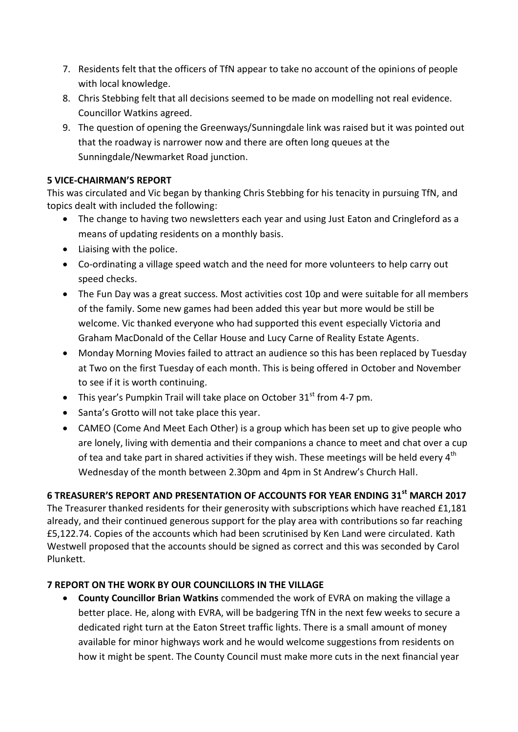- 7. Residents felt that the officers of TfN appear to take no account of the opinions of people with local knowledge.
- 8. Chris Stebbing felt that all decisions seemed to be made on modelling not real evidence. Councillor Watkins agreed.
- 9. The question of opening the Greenways/Sunningdale link was raised but it was pointed out that the roadway is narrower now and there are often long queues at the Sunningdale/Newmarket Road junction.

### **5 VICE-CHAIRMAN'S REPORT**

This was circulated and Vic began by thanking Chris Stebbing for his tenacity in pursuing TfN, and topics dealt with included the following:

- The change to having two newsletters each year and using Just Eaton and Cringleford as a means of updating residents on a monthly basis.
- Liaising with the police.
- Co-ordinating a village speed watch and the need for more volunteers to help carry out speed checks.
- The Fun Day was a great success. Most activities cost 10p and were suitable for all members of the family. Some new games had been added this year but more would be still be welcome. Vic thanked everyone who had supported this event especially Victoria and Graham MacDonald of the Cellar House and Lucy Carne of Reality Estate Agents.
- Monday Morning Movies failed to attract an audience so this has been replaced by Tuesday at Two on the first Tuesday of each month. This is being offered in October and November to see if it is worth continuing.
- This year's Pumpkin Trail will take place on October  $31<sup>st</sup>$  from 4-7 pm.
- Santa's Grotto will not take place this year.
- CAMEO (Come And Meet Each Other) is a group which has been set up to give people who are lonely, living with dementia and their companions a chance to meet and chat over a cup of tea and take part in shared activities if they wish. These meetings will be held every  $4<sup>th</sup>$ Wednesday of the month between 2.30pm and 4pm in St Andrew's Church Hall.

## **6 TREASURER'S REPORT AND PRESENTATION OF ACCOUNTS FOR YEAR ENDING 31st MARCH 2017**

The Treasurer thanked residents for their generosity with subscriptions which have reached £1,181 already, and their continued generous support for the play area with contributions so far reaching £5,122.74. Copies of the accounts which had been scrutinised by Ken Land were circulated. Kath Westwell proposed that the accounts should be signed as correct and this was seconded by Carol Plunkett.

### **7 REPORT ON THE WORK BY OUR COUNCILLORS IN THE VILLAGE**

 **County Councillor Brian Watkins** commended the work of EVRA on making the village a better place. He, along with EVRA, will be badgering TfN in the next few weeks to secure a dedicated right turn at the Eaton Street traffic lights. There is a small amount of money available for minor highways work and he would welcome suggestions from residents on how it might be spent. The County Council must make more cuts in the next financial year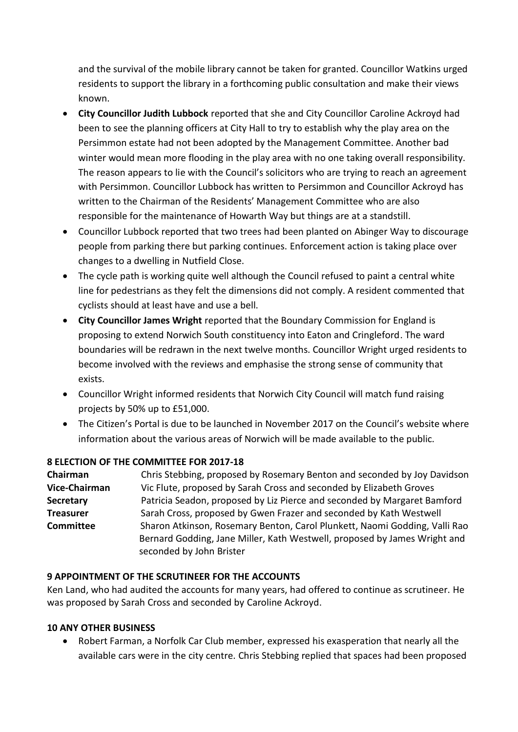and the survival of the mobile library cannot be taken for granted. Councillor Watkins urged residents to support the library in a forthcoming public consultation and make their views known.

- **City Councillor Judith Lubbock** reported that she and City Councillor Caroline Ackroyd had been to see the planning officers at City Hall to try to establish why the play area on the Persimmon estate had not been adopted by the Management Committee. Another bad winter would mean more flooding in the play area with no one taking overall responsibility. The reason appears to lie with the Council's solicitors who are trying to reach an agreement with Persimmon. Councillor Lubbock has written to Persimmon and Councillor Ackroyd has written to the Chairman of the Residents' Management Committee who are also responsible for the maintenance of Howarth Way but things are at a standstill.
- Councillor Lubbock reported that two trees had been planted on Abinger Way to discourage people from parking there but parking continues. Enforcement action is taking place over changes to a dwelling in Nutfield Close.
- The cycle path is working quite well although the Council refused to paint a central white line for pedestrians as they felt the dimensions did not comply. A resident commented that cyclists should at least have and use a bell.
- **City Councillor James Wright** reported that the Boundary Commission for England is proposing to extend Norwich South constituency into Eaton and Cringleford. The ward boundaries will be redrawn in the next twelve months. Councillor Wright urged residents to become involved with the reviews and emphasise the strong sense of community that exists.
- Councillor Wright informed residents that Norwich City Council will match fund raising projects by 50% up to £51,000.
- The Citizen's Portal is due to be launched in November 2017 on the Council's website where information about the various areas of Norwich will be made available to the public.

### **8 ELECTION OF THE COMMITTEE FOR 2017-18**

| Chairman         | Chris Stebbing, proposed by Rosemary Benton and seconded by Joy Davidson   |
|------------------|----------------------------------------------------------------------------|
| Vice-Chairman    | Vic Flute, proposed by Sarah Cross and seconded by Elizabeth Groves        |
| <b>Secretary</b> | Patricia Seadon, proposed by Liz Pierce and seconded by Margaret Bamford   |
| <b>Treasurer</b> | Sarah Cross, proposed by Gwen Frazer and seconded by Kath Westwell         |
| <b>Committee</b> | Sharon Atkinson, Rosemary Benton, Carol Plunkett, Naomi Godding, Valli Rao |
|                  | Bernard Godding, Jane Miller, Kath Westwell, proposed by James Wright and  |
|                  | seconded by John Brister                                                   |

## **9 APPOINTMENT OF THE SCRUTINEER FOR THE ACCOUNTS**

Ken Land, who had audited the accounts for many years, had offered to continue as scrutineer. He was proposed by Sarah Cross and seconded by Caroline Ackroyd.

### **10 ANY OTHER BUSINESS**

 Robert Farman, a Norfolk Car Club member, expressed his exasperation that nearly all the available cars were in the city centre. Chris Stebbing replied that spaces had been proposed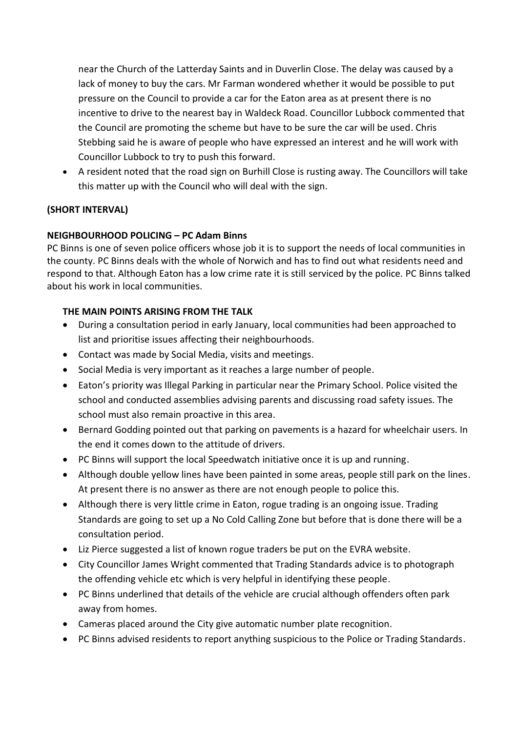near the Church of the Latterday Saints and in Duverlin Close. The delay was caused by a lack of money to buy the cars. Mr Farman wondered whether it would be possible to put pressure on the Council to provide a car for the Eaton area as at present there is no incentive to drive to the nearest bay in Waldeck Road. Councillor Lubbock commented that the Council are promoting the scheme but have to be sure the car will be used. Chris Stebbing said he is aware of people who have expressed an interest and he will work with Councillor Lubbock to try to push this forward.

 A resident noted that the road sign on Burhill Close is rusting away. The Councillors will take this matter up with the Council who will deal with the sign.

## **(SHORT INTERVAL)**

### **NEIGHBOURHOOD POLICING – PC Adam Binns**

PC Binns is one of seven police officers whose job it is to support the needs of local communities in the county. PC Binns deals with the whole of Norwich and has to find out what residents need and respond to that. Although Eaton has a low crime rate it is still serviced by the police. PC Binns talked about his work in local communities.

### **THE MAIN POINTS ARISING FROM THE TALK**

- During a consultation period in early January, local communities had been approached to list and prioritise issues affecting their neighbourhoods.
- Contact was made by Social Media, visits and meetings.
- Social Media is very important as it reaches a large number of people.
- Eaton's priority was Illegal Parking in particular near the Primary School. Police visited the school and conducted assemblies advising parents and discussing road safety issues. The school must also remain proactive in this area.
- Bernard Godding pointed out that parking on pavements is a hazard for wheelchair users. In the end it comes down to the attitude of drivers.
- PC Binns will support the local Speedwatch initiative once it is up and running.
- Although double yellow lines have been painted in some areas, people still park on the lines. At present there is no answer as there are not enough people to police this.
- Although there is very little crime in Eaton, rogue trading is an ongoing issue. Trading Standards are going to set up a No Cold Calling Zone but before that is done there will be a consultation period.
- Liz Pierce suggested a list of known rogue traders be put on the EVRA website.
- City Councillor James Wright commented that Trading Standards advice is to photograph the offending vehicle etc which is very helpful in identifying these people.
- PC Binns underlined that details of the vehicle are crucial although offenders often park away from homes.
- Cameras placed around the City give automatic number plate recognition.
- PC Binns advised residents to report anything suspicious to the Police or Trading Standards.